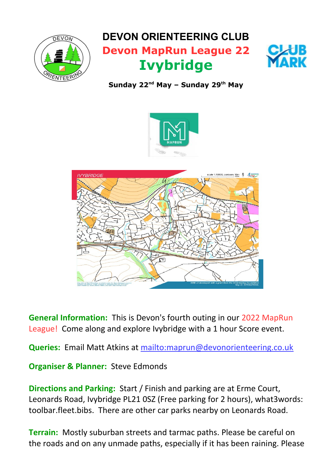

## **DEVON ORIENTEERING CLUB Devon MapRun League 22 Ivybridge**



**Sunday 22nd May – Sunday 29th May**





**General Information:** This is Devon's fourth outing in our 2022 MapRun League! Come along and explore Ivybridge with a 1 hour Score event.

**Queries:** Email Matt Atkins at<mailto:maprun@devonorienteering.co.uk>

**Organiser & Planner:** Steve Edmonds

**Directions and Parking:** Start / Finish and parking are at Erme Court, Leonards Road, Ivybridge PL21 0SZ (Free parking for 2 hours), what3words: toolbar.fleet.bibs. There are other car parks nearby on Leonards Road.

**Terrain:** Mostly suburban streets and tarmac paths. Please be careful on the roads and on any unmade paths, especially if it has been raining. Please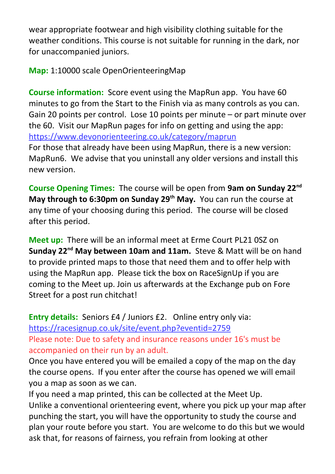wear appropriate footwear and high visibility clothing suitable for the weather conditions. This course is not suitable for running in the dark, nor for unaccompanied juniors.

**Map:** 1:10000 scale OpenOrienteeringMap

**Course information:** Score event using the MapRun app. You have 60 minutes to go from the Start to the Finish via as many controls as you can. Gain 20 points per control. Lose 10 points per minute – or part minute over the 60. Visit our MapRun pages for info on getting and using the app: <https://www.devonorienteering.co.uk/category/maprun> For those that already have been using MapRun, there is a new version: MapRun6. We advise that you uninstall any older versions and install this new version.

**Course Opening Times:** The course will be open from **9am on Sunday 22nd May through to 6:30pm on Sunday 29th May.** You can run the course at any time of your choosing during this period. The course will be closed after this period.

**Meet up:** There will be an informal meet at Erme Court PL21 0SZ on **Sunday 22nd May between 10am and 11am.** Steve & Matt will be on hand to provide printed maps to those that need them and to offer help with using the MapRun app. Please tick the box on RaceSignUp if you are coming to the Meet up. Join us afterwards at the Exchange pub on Fore Street for a post run chitchat!

**Entry details:** Seniors £4 / Juniors £2. Online entry only via: <https://racesignup.co.uk/site/event.php?eventid=2759> Please note: Due to safety and insurance reasons under 16's must be accompanied on their run by an adult.

Once you have entered you will be emailed a copy of the map on the day the course opens. If you enter after the course has opened we will email you a map as soon as we can.

If you need a map printed, this can be collected at the Meet Up. Unlike a conventional orienteering event, where you pick up your map after punching the start, you will have the opportunity to study the course and plan your route before you start. You are welcome to do this but we would ask that, for reasons of fairness, you refrain from looking at other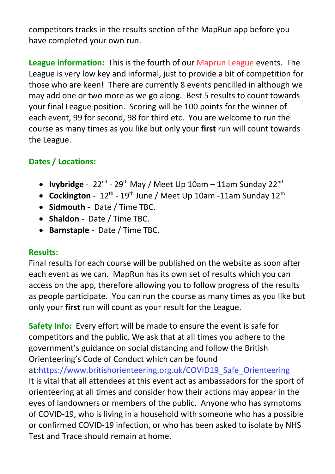competitors tracks in the results section of the MapRun app before you have completed your own run.

**League information:** This is the fourth of our Maprun League events. The League is very low key and informal, just to provide a bit of competition for those who are keen! There are currently 8 events pencilled in although we may add one or two more as we go along. Best 5 results to count towards your final League position. Scoring will be 100 points for the winner of each event, 99 for second, 98 for third etc. You are welcome to run the course as many times as you like but only your **first** run will count towards the League.

## **Dates / Locations:**

- **Ivybridge** 22<sup>nd</sup> 29<sup>th</sup> May / Meet Up 10am 11am Sunday 22<sup>nd</sup>
- Cockington  $12^{th}$   $19^{th}$  June / Meet Up 10am -11am Sunday 12<sup>th</sup>
- **Sidmouth** Date / Time TBC.
- **Shaldon** Date / Time TBC.
- **Barnstaple** Date / Time TBC.

## **Results:**

Final results for each course will be published on the website as soon after each event as we can. MapRun has its own set of results which you can access on the app, therefore allowing you to follow progress of the results as people participate. You can run the course as many times as you like but only your **first** run will count as your result for the League.

**Safety Info:** Every effort will be made to ensure the event is safe for competitors and the public. We ask that at all times you adhere to the government's guidance on social distancing and follow the British Orienteering's Code of Conduct which can be found at[:https://www.britishorienteering.org.uk/COVID19\\_Safe\\_Orienteering](https://www.britishorienteering.org.uk/COVID19_Safe_Orienteering) It is vital that all attendees at this event act as ambassadors for the sport of orienteering at all times and consider how their actions may appear in the eyes of landowners or members of the public. Anyone who has symptoms of COVID-19, who is living in a household with someone who has a possible or confirmed COVID-19 infection, or who has been asked to isolate by NHS Test and Trace should remain at home.